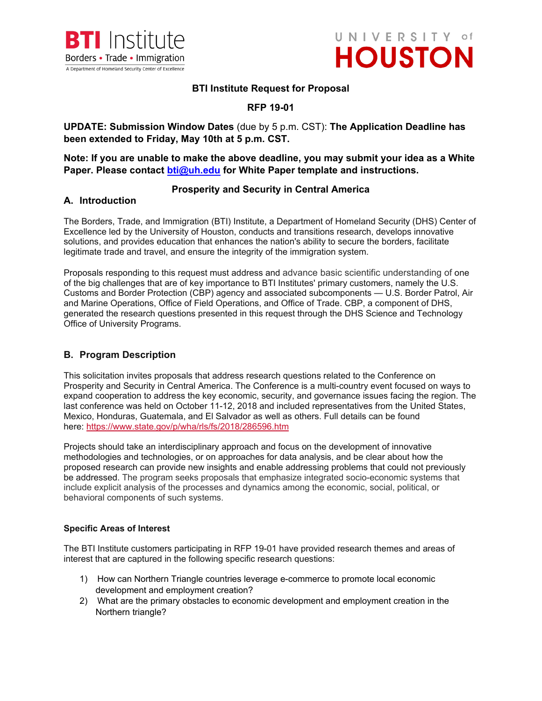



### **BTI Institute Request for Proposal**

# **RFP 19-01**

# **UPDATE: Submission Window Dates** (due by 5 p.m. CST): **The Application Deadline has been extended to Friday, May 10th at 5 p.m. CST.**

**Note: If you are unable to make the above deadline, you may submit your idea as a White Paper. Please contact [bti@uh.edu](mailto:bti@uh.edu) for White Paper template and instructions.** 

### **Prosperity and Security in Central America**

### **A. Introduction**

The Borders, Trade, and Immigration (BTI) Institute, a Department of Homeland Security (DHS) Center of Excellence led by the University of Houston, conducts and transitions research, develops innovative solutions, and provides education that enhances the nation's ability to secure the borders, facilitate legitimate trade and travel, and ensure the integrity of the immigration system.

Proposals responding to this request must address and advance basic scientific understanding of one of the big challenges that are of key importance to BTI Institutes' primary customers, namely the U.S. Customs and Border Protection (CBP) agency and associated subcomponents — U.S. Border Patrol, Air and Marine Operations, Office of Field Operations, and Office of Trade. CBP, a component of DHS, generated the research questions presented in this request through the DHS Science and Technology Office of University Programs.

# **B. Program Description**

This solicitation invites proposals that address research questions related to the Conference on Prosperity and Security in Central America. The Conference is a multi-country event focused on ways to expand cooperation to address the key economic, security, and governance issues facing the region. The last conference was held on October 11-12, 2018 and included representatives from the United States, Mexico, Honduras, Guatemala, and El Salvador as well as others. Full details can be found here: <https://www.state.gov/p/wha/rls/fs/2018/286596.htm>

Projects should take an interdisciplinary approach and focus on the development of innovative methodologies and technologies, or on approaches for data analysis, and be clear about how the proposed research can provide new insights and enable addressing problems that could not previously be addressed. The program seeks proposals that emphasize integrated socio-economic systems that include explicit analysis of the processes and dynamics among the economic, social, political, or behavioral components of such systems.

### **Specific Areas of Interest**

The BTI Institute customers participating in RFP 19-01 have provided research themes and areas of interest that are captured in the following specific research questions:

- 1) How can Northern Triangle countries leverage e-commerce to promote local economic development and employment creation?
- 2) What are the primary obstacles to economic development and employment creation in the Northern triangle?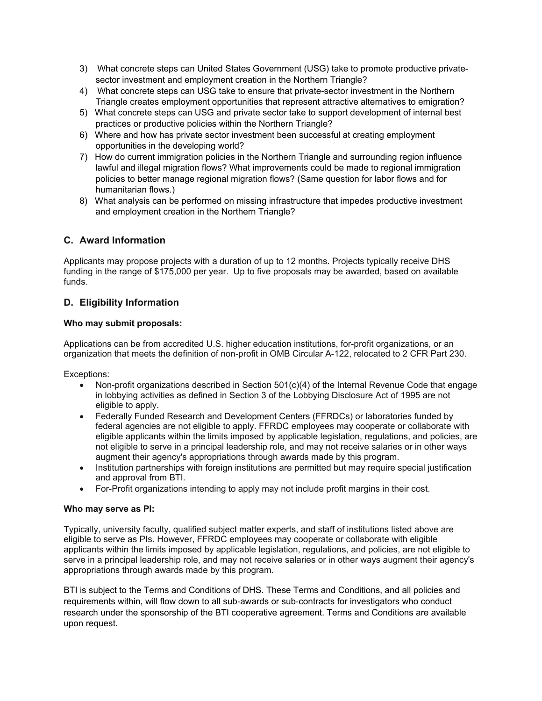- 3) What concrete steps can United States Government (USG) take to promote productive privatesector investment and employment creation in the Northern Triangle?
- 4) What concrete steps can USG take to ensure that private-sector investment in the Northern Triangle creates employment opportunities that represent attractive alternatives to emigration?
- 5) What concrete steps can USG and private sector take to support development of internal best practices or productive policies within the Northern Triangle?
- 6) Where and how has private sector investment been successful at creating employment opportunities in the developing world?
- 7) How do current immigration policies in the Northern Triangle and surrounding region influence lawful and illegal migration flows? What improvements could be made to regional immigration policies to better manage regional migration flows? (Same question for labor flows and for humanitarian flows.)
- 8) What analysis can be performed on missing infrastructure that impedes productive investment and employment creation in the Northern Triangle?

# **C. Award Information**

Applicants may propose projects with a duration of up to 12 months. Projects typically receive DHS funding in the range of \$175,000 per year. Up to five proposals may be awarded, based on available funds.

# **D. Eligibility Information**

### **Who may submit proposals:**

Applications can be from accredited U.S. higher education institutions, for-profit organizations, or an organization that meets the definition of non-profit in OMB Circular A-122, relocated to 2 CFR Part 230.

Exceptions:

- Non-profit organizations described in Section 501(c)(4) of the Internal Revenue Code that engage in lobbying activities as defined in Section 3 of the Lobbying Disclosure Act of 1995 are not eligible to apply.
- Federally Funded Research and Development Centers (FFRDCs) or laboratories funded by federal agencies are not eligible to apply. FFRDC employees may cooperate or collaborate with eligible applicants within the limits imposed by applicable legislation, regulations, and policies, are not eligible to serve in a principal leadership role, and may not receive salaries or in other ways augment their agency's appropriations through awards made by this program.
- Institution partnerships with foreign institutions are permitted but may require special justification and approval from BTI.
- For-Profit organizations intending to apply may not include profit margins in their cost.

#### **Who may serve as PI:**

Typically, university faculty, qualified subject matter experts, and staff of institutions listed above are eligible to serve as PIs. However, FFRDC employees may cooperate or collaborate with eligible applicants within the limits imposed by applicable legislation, regulations, and policies, are not eligible to serve in a principal leadership role, and may not receive salaries or in other ways augment their agency's appropriations through awards made by this program.

BTI is subject to the Terms and Conditions of DHS. These Terms and Conditions, and all policies and requirements within, will flow down to all sub‐awards or sub‐contracts for investigators who conduct research under the sponsorship of the BTI cooperative agreement. Terms and Conditions are available upon request.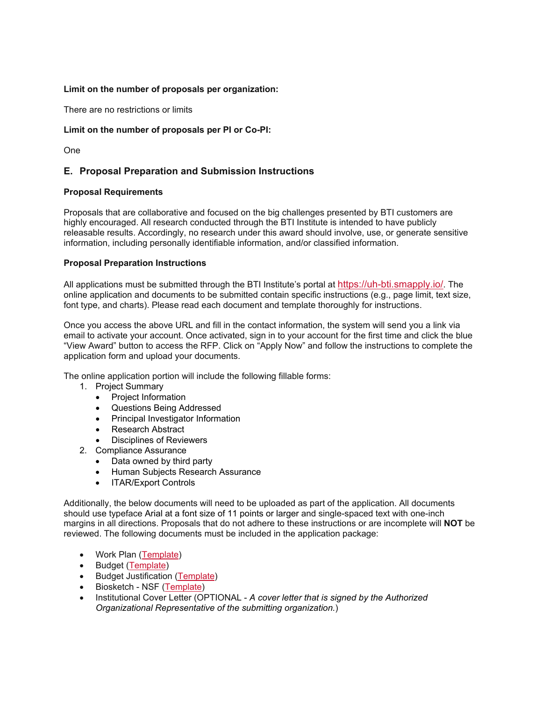### **Limit on the number of proposals per organization:**

There are no restrictions or limits

### **Limit on the number of proposals per PI or Co-PI:**

One

# **E. Proposal Preparation and Submission Instructions**

### **Proposal Requirements**

Proposals that are collaborative and focused on the big challenges presented by BTI customers are highly encouraged. All research conducted through the BTI Institute is intended to have publicly releasable results. Accordingly, no research under this award should involve, use, or generate sensitive information, including personally identifiable information, and/or classified information.

### **Proposal Preparation Instructions**

All applications must be submitted through the BTI Institute's portal at [https://uh-bti.smapply.io/.](https://uh-bti.smapply.io/) The online application and documents to be submitted contain specific instructions (e.g., page limit, text size, font type, and charts). Please read each document and template thoroughly for instructions.

Once you access the above URL and fill in the contact information, the system will send you a link via email to activate your account. Once activated, sign in to your account for the first time and click the blue "View Award" button to access the RFP. Click on "Apply Now" and follow the instructions to complete the application form and upload your documents.

The online application portion will include the following fillable forms:

- 1. Project Summary
	- Project Information
	- Questions Being Addressed
	- Principal Investigator Information
	- Research Abstract
	- Disciplines of Reviewers
- 2. Compliance Assurance
	- Data owned by third party
	- Human Subjects Research Assurance
	- ITAR/Export Controls

Additionally, the below documents will need to be uploaded as part of the application. All documents should use typeface Arial at a font size of 11 points or larger and single-spaced text with one-inch margins in all directions. Proposals that do not adhere to these instructions or are incomplete will **NOT** be reviewed. The following documents must be included in the application package:

- Work Plan [\(Template\)](http://www.uh.edu/bti/partnerships/RFPs/rfp-19-01/bti_workplan_template_rfp19-1.docx)
- Budget [\(Template\)](http://www.uh.edu/bti/partnerships/RFPs/rfp-19-01/bti_budget_template_rfp19.xlsx)
- Budget Justification [\(Template\)](http://www.uh.edu/bti/partnerships/RFPs/rfp-19-01/bti_budget_justification_template_rfp19.doc)
- Biosketch NSF [\(Template\)](http://www.uh.edu/bti/partnerships/RFPs/rfp-19-01/bti--biosketch.docx)
- Institutional Cover Letter (OPTIONAL *A cover letter that is signed by the Authorized Organizational Representative of the submitting organization.*)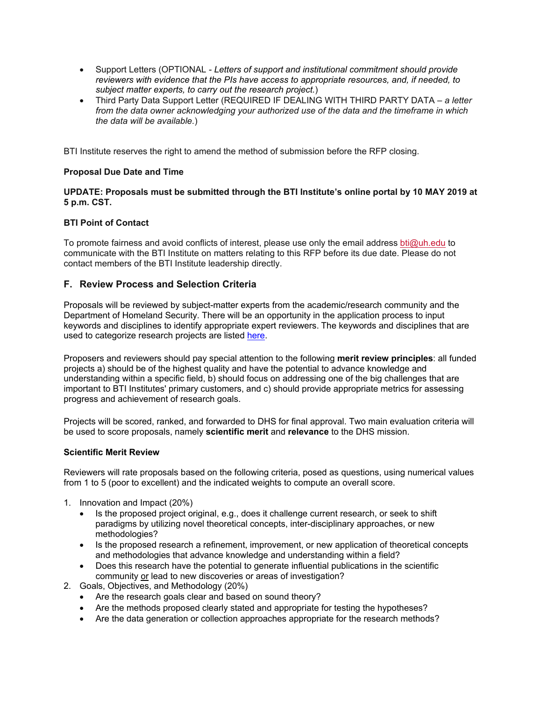- Support Letters (OPTIONAL *- Letters of support and institutional commitment should provide reviewers with evidence that the PIs have access to appropriate resources, and, if needed, to subject matter experts, to carry out the research project.*)
- Third Party Data Support Letter (REQUIRED IF DEALING WITH THIRD PARTY DATA *a letter from the data owner acknowledging your authorized use of the data and the timeframe in which the data will be available.*)

BTI Institute reserves the right to amend the method of submission before the RFP closing.

### **Proposal Due Date and Time**

### **UPDATE: Proposals must be submitted through the BTI Institute's online portal by 10 MAY 2019 at 5 p.m. CST.**

### **BTI Point of Contact**

To promote fairness and avoid conflicts of interest, please use only the email address [bti@uh.edu](mailto:bti@uh.edu) to communicate with the BTI Institute on matters relating to this RFP before its due date. Please do not contact members of the BTI Institute leadership directly.

### **F. Review Process and Selection Criteria**

Proposals will be reviewed by subject-matter experts from the academic/research community and the Department of Homeland Security. There will be an opportunity in the application process to input keywords and disciplines to identify appropriate expert reviewers. The keywords and disciplines that are used to categorize research projects are listed [here.](file://bti/partnerships/RFPs/rfp-19-01/bti-main-disciplines-list.pdf)

Proposers and reviewers should pay special attention to the following **merit review principles**: all funded projects a) should be of the highest quality and have the potential to advance knowledge and understanding within a specific field, b) should focus on addressing one of the big challenges that are important to BTI Institutes' primary customers, and c) should provide appropriate metrics for assessing progress and achievement of research goals.

Projects will be scored, ranked, and forwarded to DHS for final approval. Two main evaluation criteria will be used to score proposals, namely **scientific merit** and **relevance** to the DHS mission.

#### **Scientific Merit Review**

Reviewers will rate proposals based on the following criteria, posed as questions, using numerical values from 1 to 5 (poor to excellent) and the indicated weights to compute an overall score.

- 1. Innovation and Impact (20%)
	- Is the proposed project original, e.g., does it challenge current research, or seek to shift paradigms by utilizing novel theoretical concepts, inter-disciplinary approaches, or new methodologies?
	- Is the proposed research a refinement, improvement, or new application of theoretical concepts and methodologies that advance knowledge and understanding within a field?
	- Does this research have the potential to generate influential publications in the scientific community or lead to new discoveries or areas of investigation?
- 2. Goals, Objectives, and Methodology (20%)
	- Are the research goals clear and based on sound theory?
	- Are the methods proposed clearly stated and appropriate for testing the hypotheses?
	- Are the data generation or collection approaches appropriate for the research methods?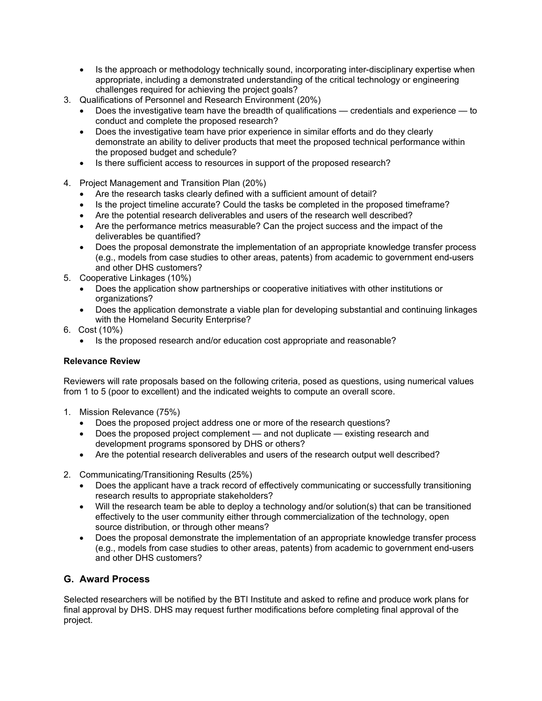- Is the approach or methodology technically sound, incorporating inter-disciplinary expertise when appropriate, including a demonstrated understanding of the critical technology or engineering challenges required for achieving the project goals?
- 3. Qualifications of Personnel and Research Environment (20%)
	- Does the investigative team have the breadth of qualifications credentials and experience to conduct and complete the proposed research?
	- Does the investigative team have prior experience in similar efforts and do they clearly demonstrate an ability to deliver products that meet the proposed technical performance within the proposed budget and schedule?
	- Is there sufficient access to resources in support of the proposed research?
- 4. Project Management and Transition Plan (20%)
	- Are the research tasks clearly defined with a sufficient amount of detail?
	- Is the project timeline accurate? Could the tasks be completed in the proposed timeframe?
	- Are the potential research deliverables and users of the research well described?
	- Are the performance metrics measurable? Can the project success and the impact of the deliverables be quantified?
	- Does the proposal demonstrate the implementation of an appropriate knowledge transfer process (e.g., models from case studies to other areas, patents) from academic to government end-users and other DHS customers?
- 5. Cooperative Linkages (10%)
	- Does the application show partnerships or cooperative initiatives with other institutions or organizations?
	- Does the application demonstrate a viable plan for developing substantial and continuing linkages with the Homeland Security Enterprise?
- 6. Cost (10%)
	- Is the proposed research and/or education cost appropriate and reasonable?

### **Relevance Review**

Reviewers will rate proposals based on the following criteria, posed as questions, using numerical values from 1 to 5 (poor to excellent) and the indicated weights to compute an overall score.

- 1. Mission Relevance (75%)
	- Does the proposed project address one or more of the research questions?
	- Does the proposed project complement and not duplicate existing research and development programs sponsored by DHS or others?
	- Are the potential research deliverables and users of the research output well described?
- 2. Communicating/Transitioning Results (25%)
	- Does the applicant have a track record of effectively communicating or successfully transitioning research results to appropriate stakeholders?
	- Will the research team be able to deploy a technology and/or solution(s) that can be transitioned effectively to the user community either through commercialization of the technology, open source distribution, or through other means?
	- Does the proposal demonstrate the implementation of an appropriate knowledge transfer process (e.g., models from case studies to other areas, patents) from academic to government end-users and other DHS customers?

# **G. Award Process**

Selected researchers will be notified by the BTI Institute and asked to refine and produce work plans for final approval by DHS. DHS may request further modifications before completing final approval of the project.